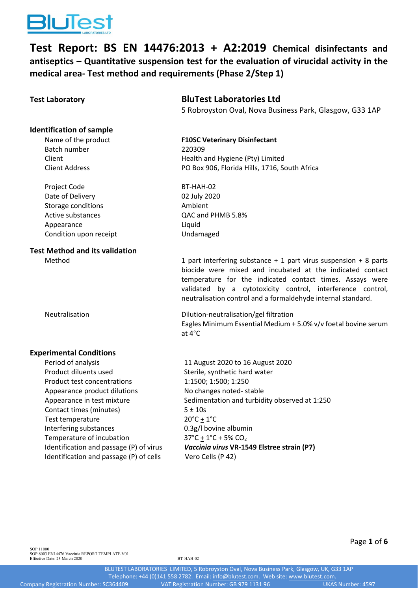

**Test Report: BS EN 14476:2013 + A2:2019 Chemical disinfectants and antiseptics – Quantitative suspension test for the evaluation of virucidal activity in the medical area‐ Test method and requirements (Phase 2/Step 1)**

# **Identification of sample**

Batch number 220309

Project Code BT-HAH-02 Date of Delivery 02 July 2020 Storage conditions **Ambient** Active substances  $QAC$  and PHMB 5.8% Appearance Liquid Condition upon receipt Undamaged

# **Test Method and its validation**

## **Test Laboratory BluTest Laboratories Ltd**

5 Robroyston Oval, Nova Business Park, Glasgow, G33 1AP

# Name of the product **F10SC Veterinary Disinfectant** Client Client Client Client Client Client Client Client Client Client Client Client Client Client Client Clien Client Address PO Box 906, Florida Hills, 1716, South Africa

Method 1 part interfering substance + 1 part virus suspension + 8 parts biocide were mixed and incubated at the indicated contact temperature for the indicated contact times. Assays were validated by a cytotoxicity control, interference control, neutralisation control and a formaldehyde internal standard.

Neutralisation Dilution‐neutralisation/gel filtration Eagles Minimum Essential Medium + 5.0% v/v foetal bovine serum at 4°C

### **Experimental Conditions**

Product diluents used Sterile, synthetic hard water Product test concentrations 1:1500; 1:500; 1:250 Appearance product dilutions No changes noted-stable Contact times (minutes)  $5 \pm 10s$ Test temperature 20°C + 1°C Interfering substances 0.3g/l bovine albumin Temperature of incubation  $37^{\circ}C + 1^{\circ}C + 5\% CO_2$ Identification and passage (P) of cells Vero Cells (P 42)

Period of analysis Theorem 2020 to 16 August 2020 Appearance in test mixture Sedimentation and turbidity observed at 1:250 Identification and passage (P) of virus *Vaccinia virus* **VR‐1549 Elstree strain (P7)**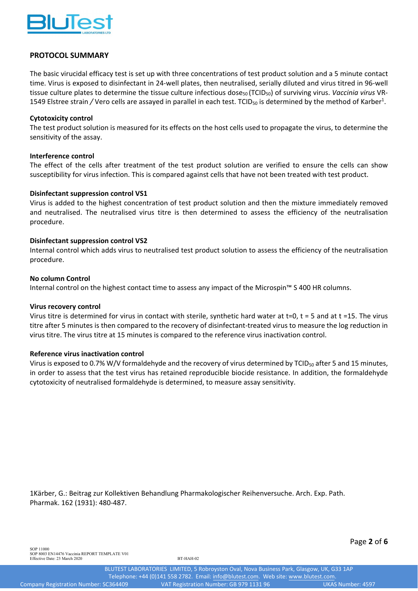

### **PROTOCOL SUMMARY**

The basic virucidal efficacy test is set up with three concentrations of test product solution and a 5 minute contact time. Virus is exposed to disinfectant in 24‐well plates, then neutralised, serially diluted and virus titred in 96‐well tissue culture plates to determine the tissue culture infectious dose<sub>50</sub> (TCID<sub>50</sub>) of surviving virus. *Vaccinia virus* VR-1549 Elstree strain / Vero cells are assayed in parallel in each test. TCID<sub>50</sub> is determined by the method of Karber<sup>1</sup>.

#### **Cytotoxicity control**

The test product solution is measured for its effects on the host cells used to propagate the virus, to determine the sensitivity of the assay.

#### **Interference control**

The effect of the cells after treatment of the test product solution are verified to ensure the cells can show susceptibility for virus infection. This is compared against cells that have not been treated with test product.

#### **Disinfectant suppression control VS1**

Virus is added to the highest concentration of test product solution and then the mixture immediately removed and neutralised. The neutralised virus titre is then determined to assess the efficiency of the neutralisation procedure.

#### **Disinfectant suppression control VS2**

Internal control which adds virus to neutralised test product solution to assess the efficiency of the neutralisation procedure.

#### **No column Control**

Internal control on the highest contact time to assess any impact of the Microspin™ S 400 HR columns.

#### **Virus recovery control**

Virus titre is determined for virus in contact with sterile, synthetic hard water at t=0, t = 5 and at t =15. The virus titre after 5 minutes is then compared to the recovery of disinfectant‐treated virus to measure the log reduction in virus titre. The virus titre at 15 minutes is compared to the reference virus inactivation control.

#### **Reference virus inactivation control**

Virus is exposed to 0.7% W/V formaldehyde and the recovery of virus determined by TCID<sub>50</sub> after 5 and 15 minutes, in order to assess that the test virus has retained reproducible biocide resistance. In addition, the formaldehyde cytotoxicity of neutralised formaldehyde is determined, to measure assay sensitivity.

1Kärber, G.: Beitrag zur Kollektiven Behandlung Pharmakologischer Reihenversuche. Arch. Exp. Path. Pharmak. 162 (1931): 480‐487.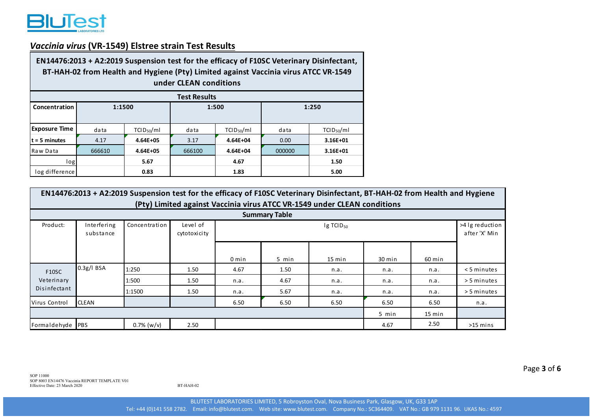

# *Vaccinia virus* **(VR‐1549) Elstree strain Test Results**

| EN14476:2013 + A2:2019 Suspension test for the efficacy of F10SC Veterinary Disinfectant,<br>BT-HAH-02 from Health and Hygiene (Pty) Limited against Vaccinia virus ATCC VR-1549<br>under CLEAN conditions |        |                        |        |                        |        |                        |  |  |  |  |  |
|------------------------------------------------------------------------------------------------------------------------------------------------------------------------------------------------------------|--------|------------------------|--------|------------------------|--------|------------------------|--|--|--|--|--|
| <b>Test Results</b>                                                                                                                                                                                        |        |                        |        |                        |        |                        |  |  |  |  |  |
| Concentration                                                                                                                                                                                              | 1:1500 |                        |        | 1:500                  | 1:250  |                        |  |  |  |  |  |
|                                                                                                                                                                                                            |        |                        |        |                        |        |                        |  |  |  |  |  |
| <b>Exposure Time</b>                                                                                                                                                                                       | data   | TCID <sub>50</sub> /ml | data   | TCID <sub>50</sub> /ml | data   | TCID <sub>50</sub> /ml |  |  |  |  |  |
| $t = 5$ minutes                                                                                                                                                                                            | 4.17   | $4.64E + 05$           | 3.17   | $4.64E + 04$           | 0.00   | 3.16E+01               |  |  |  |  |  |
| Raw Data                                                                                                                                                                                                   | 666610 | $4.64E + 05$           | 666100 | 4.64E+04               | 000000 | $3.16E + 01$           |  |  |  |  |  |
| log                                                                                                                                                                                                        |        | 5.67                   |        | 4.67                   |        | 1.50                   |  |  |  |  |  |
| log difference                                                                                                                                                                                             |        | 0.83                   |        | 1.83                   |        | 5.00                   |  |  |  |  |  |

| EN14476:2013 + A2:2019 Suspension test for the efficacy of F10SC Veterinary Disinfectant, BT-HAH-02 from Health and Hygiene<br>(Pty) Limited against Vaccinia virus ATCC VR-1549 under CLEAN conditions |                          |                                                                    |      |         |       |          |        |        |                                  |  |
|---------------------------------------------------------------------------------------------------------------------------------------------------------------------------------------------------------|--------------------------|--------------------------------------------------------------------|------|---------|-------|----------|--------|--------|----------------------------------|--|
| <b>Summary Table</b>                                                                                                                                                                                    |                          |                                                                    |      |         |       |          |        |        |                                  |  |
| Product:                                                                                                                                                                                                | Interfering<br>substance | Concentration<br>Level of<br>Ig TCID <sub>50</sub><br>cytotoxicity |      |         |       |          |        |        | >4 lg reduction<br>after 'X' Min |  |
|                                                                                                                                                                                                         |                          |                                                                    |      | $0$ min | 5 min | $15$ min | 30 min | 60 min |                                  |  |
| <b>F10SC</b>                                                                                                                                                                                            | $0.3g/l$ BSA             | 1:250                                                              | 1.50 | 4.67    | 1.50  | n.a.     | n.a.   | n.a.   | $<$ 5 minutes                    |  |
| Veterinary                                                                                                                                                                                              |                          | 1:500                                                              | 1.50 | n.a.    | 4.67  | n.a.     | n.a.   | n.a.   | > 5 minutes                      |  |
| Disinfectant                                                                                                                                                                                            |                          | 1:1500                                                             | 1.50 | n.a.    | 5.67  | n.a.     | n.a.   | n.a.   | > 5 minutes                      |  |
| Virus Control                                                                                                                                                                                           | <b>CLEAN</b>             |                                                                    |      | 6.50    | 6.50  | 6.50     | 6.50   | 6.50   | n.a.                             |  |
| 5 min<br>$15 \text{ min}$                                                                                                                                                                               |                          |                                                                    |      |         |       |          |        |        |                                  |  |
| Formaldehyde PBS                                                                                                                                                                                        |                          | $0.7\%$ (w/v)                                                      | 2.50 |         |       |          | 4.67   | 2.50   | $>15$ mins                       |  |

BT-HAH-02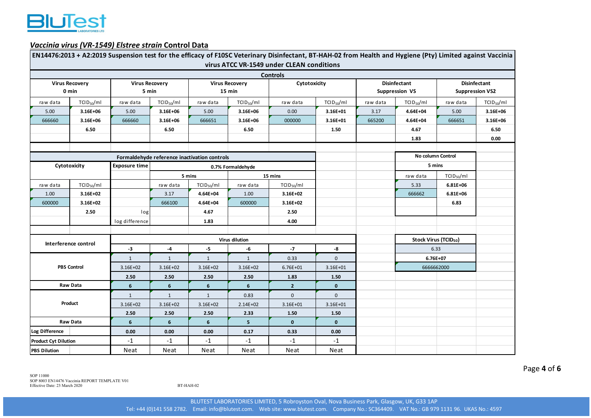

#### *Vaccinia virus (VR‐1549) Elstree strain* **Control Data**

|                                |                                              |                                |                        |                                 |                        | EN14476:2013 + A2:2019 Suspension test for the efficacy of F10SC Veterinary Disinfectant, BT-HAH-02 from Health and Hygiene (Pty) Limited against Vaccinia<br>virus ATCC VR-1549 under CLEAN conditions |                |                                              |                                   |                                               |                        |
|--------------------------------|----------------------------------------------|--------------------------------|------------------------|---------------------------------|------------------------|---------------------------------------------------------------------------------------------------------------------------------------------------------------------------------------------------------|----------------|----------------------------------------------|-----------------------------------|-----------------------------------------------|------------------------|
|                                |                                              |                                |                        |                                 |                        | <b>Controls</b>                                                                                                                                                                                         |                |                                              |                                   |                                               |                        |
| <b>Virus Recovery</b><br>0 min |                                              | <b>Virus Recovery</b><br>5 min |                        | <b>Virus Recovery</b><br>15 min |                        | Cytotoxicity                                                                                                                                                                                            |                | <b>Disinfectant</b><br><b>Suppression VS</b> |                                   | <b>Disinfectant</b><br><b>Suppression VS2</b> |                        |
| raw data                       | TCID <sub>50</sub> /ml                       | raw data                       | TCID <sub>50</sub> /ml | raw data                        | TCID <sub>50</sub> /ml | raw data                                                                                                                                                                                                | $TCID_{50}/ml$ | raw data                                     | $TCID_{50}/ml$                    | raw data                                      | TCID <sub>50</sub> /ml |
| 5.00                           | 3.16E+06                                     | 5.00                           | 3.16E+06               | 5.00                            | 3.16E+06               | 0.00                                                                                                                                                                                                    | 3.16E+01       | 3.17                                         | 4.64E+04                          | 5.00                                          | 3.16E+06               |
| 666660                         | 3.16E+06                                     | 666660                         | 3.16E+06               | 666651                          | 3.16E+06               | 000000                                                                                                                                                                                                  | 3.16E+01       | 665200                                       | 4.64E+04                          | 666651                                        | 3.16E+06               |
|                                | 6.50                                         |                                | 6.50                   |                                 | 6.50                   |                                                                                                                                                                                                         | 1.50           |                                              | 4.67                              |                                               | 6.50                   |
|                                |                                              |                                |                        |                                 |                        |                                                                                                                                                                                                         |                |                                              | 1.83                              |                                               | 0.00                   |
|                                |                                              |                                |                        |                                 |                        |                                                                                                                                                                                                         |                |                                              |                                   |                                               |                        |
|                                | Formaldehyde reference inactivation controls |                                |                        |                                 |                        |                                                                                                                                                                                                         |                |                                              |                                   | No column Control                             |                        |
|                                | Cytotoxicity                                 |                                | 0.7% Formaldehyde      |                                 |                        |                                                                                                                                                                                                         |                |                                              | 5 mins                            |                                               |                        |
|                                |                                              |                                |                        | 5 mins                          |                        | 15 mins                                                                                                                                                                                                 |                |                                              | raw data                          | TCID <sub>50</sub> /ml                        |                        |
| raw data                       | TCID <sub>50</sub> /ml                       |                                | raw data               | TCID <sub>50</sub> /ml          | raw data               | TCID <sub>50</sub> /ml                                                                                                                                                                                  |                |                                              | 5.33                              | $6.81E + 06$                                  |                        |
| 1.00                           | 3.16E+02                                     |                                | 3.17                   | 4.64E+04                        | 1.00                   | 3.16E+02                                                                                                                                                                                                |                |                                              | 666662                            | $6.81E + 06$                                  |                        |
| 600000                         | 3.16E+02                                     |                                | 666100                 | 4.64E+04                        | 600000                 | 3.16E+02                                                                                                                                                                                                |                |                                              |                                   | 6.83                                          |                        |
|                                | 2.50                                         | log                            |                        | 4.67                            |                        | 2.50                                                                                                                                                                                                    |                |                                              |                                   |                                               |                        |
|                                |                                              | log difference                 |                        | 1.83                            |                        | 4.00                                                                                                                                                                                                    |                |                                              |                                   |                                               |                        |
|                                |                                              |                                |                        |                                 |                        |                                                                                                                                                                                                         |                |                                              |                                   |                                               |                        |
|                                | Interference control                         |                                | Virus dilution         |                                 |                        |                                                                                                                                                                                                         |                |                                              | Stock Virus (TCID <sub>50</sub> ) |                                               |                        |
|                                |                                              | $-3$                           | $-4$                   | -5                              | -6                     | $-7$                                                                                                                                                                                                    | -8             |                                              | 6.33                              |                                               |                        |
|                                |                                              | $\mathbf{1}$                   | $\mathbf{1}$           | $\mathbf{1}$                    | $\mathbf{1}$           | 0.33                                                                                                                                                                                                    | $\mathbf{0}$   |                                              | $6.76E + 07$                      |                                               |                        |
|                                | <b>PBS Control</b>                           |                                | $3.16E + 02$           | 3.16E+02                        | 3.16E+02               | $6.76E + 01$                                                                                                                                                                                            | $3.16E + 01$   |                                              | 6666662000                        |                                               |                        |
|                                |                                              |                                | 2.50                   | 2.50                            | 2.50                   | 1.83                                                                                                                                                                                                    | 1.50           |                                              |                                   |                                               |                        |
|                                | Raw Data                                     | $6\phantom{1}$                 | $6\phantom{1}$         | $6\phantom{1}$                  | 6                      | $\overline{2}$                                                                                                                                                                                          | $\mathbf{0}$   |                                              |                                   |                                               |                        |
| Product                        |                                              | $\mathbf{1}$                   | $\mathbf{1}$           | $\mathbf{1}$                    | 0.83                   | $\pmb{0}$                                                                                                                                                                                               | $\mathbf 0$    |                                              |                                   |                                               |                        |
|                                |                                              | 3.16E+02                       | $3.16E + 02$           | 3.16E+02                        | 2.14E+02               | 3.16E+01                                                                                                                                                                                                | $3.16E + 01$   |                                              |                                   |                                               |                        |
|                                |                                              | 2.50                           | 2.50                   | 2.50                            | 2.33                   | 1.50                                                                                                                                                                                                    | 1.50           |                                              |                                   |                                               |                        |
| Raw Data                       |                                              | $6\phantom{1}$                 | $6\phantom{1}$         | $6\phantom{1}$                  | 5                      | $\bf{0}$                                                                                                                                                                                                | $\mathbf{0}$   |                                              |                                   |                                               |                        |
| Log Difference                 |                                              | 0.00                           | 0.00                   | 0.00                            | 0.17                   | 0.33                                                                                                                                                                                                    | 0.00           |                                              |                                   |                                               |                        |
| <b>Product Cyt Dilution</b>    |                                              | $-1$                           | $-1$                   | $-1$                            | $-1$                   | $-1$                                                                                                                                                                                                    | $-1$           |                                              |                                   |                                               |                        |
| <b>PBS Dilution</b>            |                                              | Neat                           | Neat                   | Neat                            | Neat                   | <b>Neat</b>                                                                                                                                                                                             | Neat           |                                              |                                   |                                               |                        |

Page **4** of **6**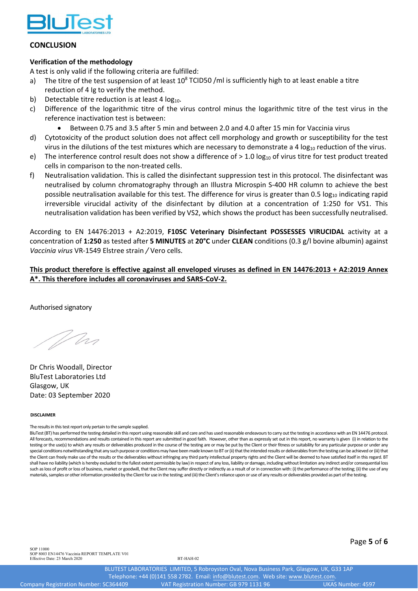

#### **CONCLUSION**

### **Verification of the methodology**

A test is only valid if the following criteria are fulfilled:

- a) The titre of the test suspension of at least  $10^8$  TCID50 /ml is sufficiently high to at least enable a titre reduction of 4 Ig to verify the method.
- b) Detectable titre reduction is at least 4  $log_{10}$ .
- c) Difference of the logarithmic titre of the virus control minus the logarithmic titre of the test virus in the reference inactivation test is between:
	- Between 0.75 and 3.5 after 5 min and between 2.0 and 4.0 after 15 min for Vaccinia virus
- d) Cytotoxicity of the product solution does not affect cell morphology and growth or susceptibility for the test virus in the dilutions of the test mixtures which are necessary to demonstrate a 4  $log<sub>10</sub>$  reduction of the virus.
- e) The interference control result does not show a difference of  $> 1.0 \log_{10}$  of virus titre for test product treated cells in comparison to the non-treated cells.
- f) Neutralisation validation. This is called the disinfectant suppression test in this protocol. The disinfectant was neutralised by column chromatography through an Illustra Microspin S‐400 HR column to achieve the best possible neutralisation available for this test. The difference for virus is greater than 0.5 log<sub>10</sub> indicating rapid irreversible virucidal activity of the disinfectant by dilution at a concentration of 1:250 for VS1. This neutralisation validation has been verified by VS2, which shows the product has been successfully neutralised.

According to EN 14476:2013 + A2:2019, **F10SC Veterinary Disinfectant POSSESSES VIRUCIDAL** activity at a concentration of **1:250** as tested after **5 MINUTES** at **20°C** under **CLEAN** conditions (0.3 g/l bovine albumin) against *Vaccinia virus* VR‐1549 Elstree strain */* Vero cells.

This product therefore is effective against all enveloped viruses as defined in EN 14476:2013 + A2:2019 Annex **A\*. This therefore includes all coronaviruses and SARS‐CoV‐2.**

Authorised signatory

Who

Dr Chris Woodall, Director BluTest Laboratories Ltd Glasgow, UK Date: 03 September 2020

#### **DISCLAIMER**

The results in this test report only pertain to the sample supplied.

BluTest (BT) has performed the testing detailed in this report using reasonable skill and care and has used reasonable endeavours to carry out the testing in accordance with an EN 14476 protocol. All forecasts, recommendations and results contained in this report are submitted in good faith. However, other than as expressly set out in this report, no warranty is given (i) in relation to the testing or the use(s) to which any results or deliverables produced in the course of the testing are or may be put by the Client or their fitness or suitability for any particular purpose or under any special conditions notwithstanding that any such purpose or conditions may have been made known to BT or (ii) that the intended results or deliverables from the testing can be achieved or (iii) that the Client can freely make use of the results or the deliverables without infringing any third party intellectual property rights and the Client will be deemed to have satisfied itself in thisregard. BT shall have no liability (which is hereby excluded to the fullest extent permissible by law) in respect of any loss, liability or damage, including without limitation any indirect and/or consequential loss such as loss of profit or loss of business, market or goodwill, that the Client may suffer directly or indirectly as a result of or in connection with: (i) the performance of the testing; (ii) the use of any materials, samples or other information provided by the Client for use in the testing; and (iii) the Client's reliance upon or use of any results or deliverables provided as part of the testing.

SOP 11000 SOP 8003 EN14476 Vaccinia REPORT TEMPLATE V01 Effective Date: 23 March 2020

Page **5** of **6**